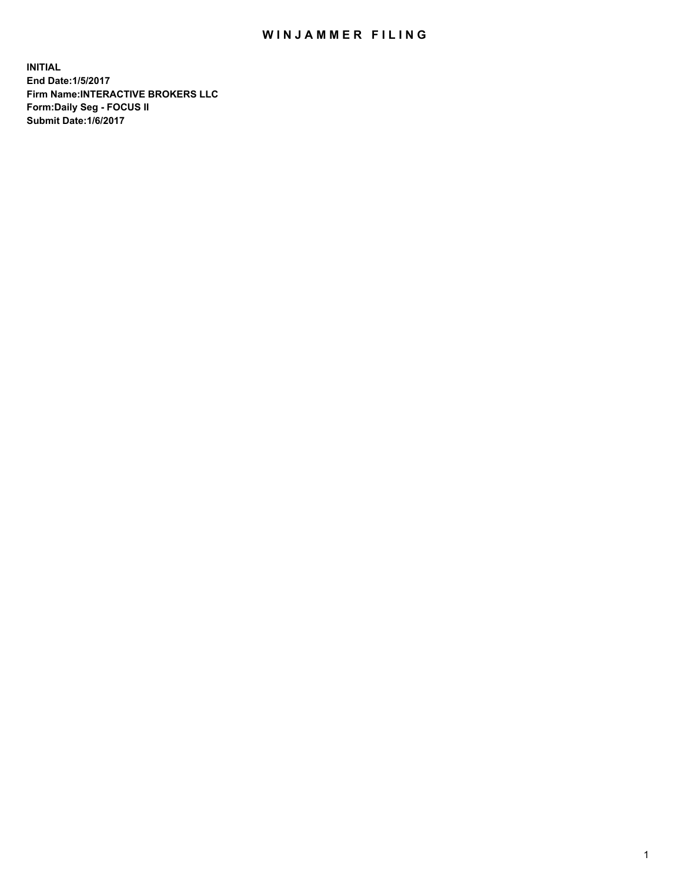## WIN JAMMER FILING

**INITIAL End Date:1/5/2017 Firm Name:INTERACTIVE BROKERS LLC Form:Daily Seg - FOCUS II Submit Date:1/6/2017**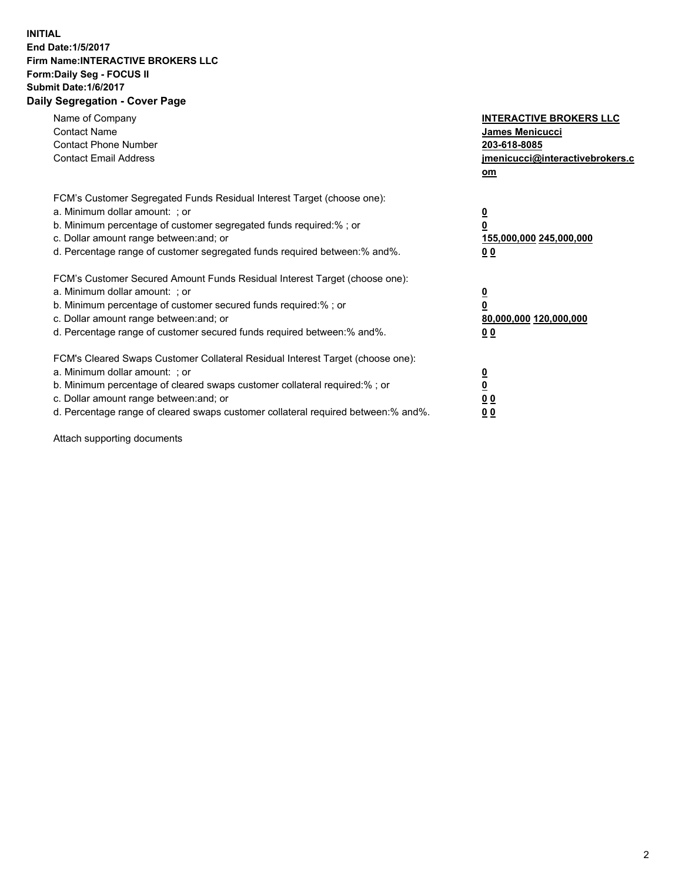## **INITIAL End Date:1/5/2017 Firm Name:INTERACTIVE BROKERS LLC Form:Daily Seg - FOCUS II Submit Date:1/6/2017 Daily Segregation - Cover Page**

| Name of Company<br><b>Contact Name</b><br><b>Contact Phone Number</b><br><b>Contact Email Address</b>                                                                                                                                                                                                                          | <b>INTERACTIVE BROKERS LLC</b><br>James Menicucci<br>203-618-8085<br>jmenicucci@interactivebrokers.c<br>om |
|--------------------------------------------------------------------------------------------------------------------------------------------------------------------------------------------------------------------------------------------------------------------------------------------------------------------------------|------------------------------------------------------------------------------------------------------------|
| FCM's Customer Segregated Funds Residual Interest Target (choose one):<br>a. Minimum dollar amount: ; or<br>b. Minimum percentage of customer segregated funds required:% ; or<br>c. Dollar amount range between: and; or<br>d. Percentage range of customer segregated funds required between:% and%.                         | $\overline{\mathbf{0}}$<br>0<br>155,000,000 245,000,000<br>0 <sub>0</sub>                                  |
| FCM's Customer Secured Amount Funds Residual Interest Target (choose one):<br>a. Minimum dollar amount: ; or<br>b. Minimum percentage of customer secured funds required:%; or<br>c. Dollar amount range between: and; or<br>d. Percentage range of customer secured funds required between: % and %.                          | $\overline{\mathbf{0}}$<br>0<br>80,000,000 120,000,000<br>0 <sub>0</sub>                                   |
| FCM's Cleared Swaps Customer Collateral Residual Interest Target (choose one):<br>a. Minimum dollar amount: ; or<br>b. Minimum percentage of cleared swaps customer collateral required:% ; or<br>c. Dollar amount range between: and; or<br>d. Percentage range of cleared swaps customer collateral required between:% and%. | $\overline{\mathbf{0}}$<br>$\underline{\mathbf{0}}$<br>0 <sub>0</sub><br>0 <sub>0</sub>                    |

Attach supporting documents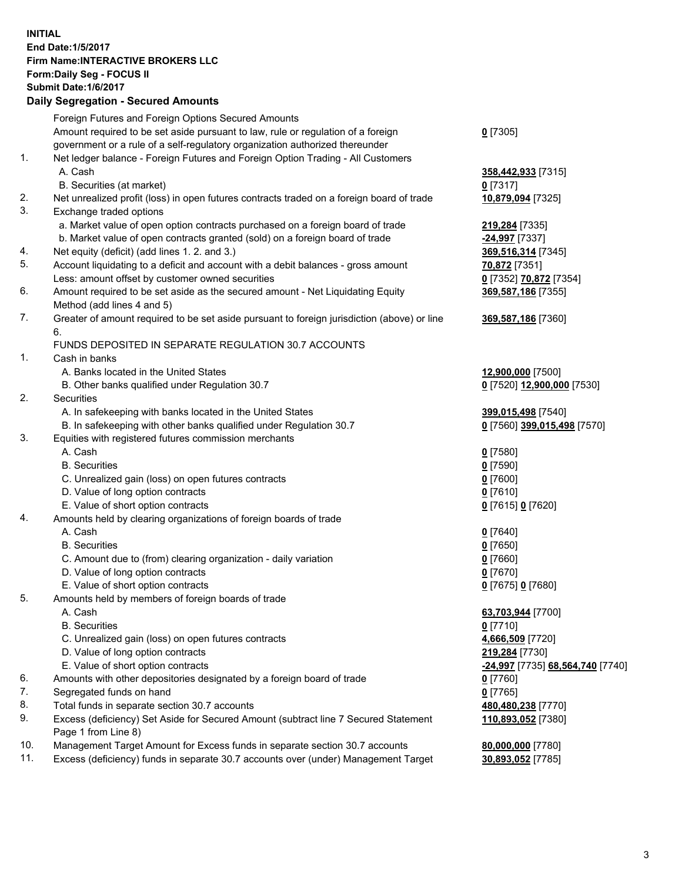## **INITIAL End Date:1/5/2017 Firm Name:INTERACTIVE BROKERS LLC Form:Daily Seg - FOCUS II Submit Date:1/6/2017 Daily Segregation - Secured Amounts**

|     | Daily Ocglegation - Occuled Amounts                                                                        |                                  |
|-----|------------------------------------------------------------------------------------------------------------|----------------------------------|
|     | Foreign Futures and Foreign Options Secured Amounts                                                        |                                  |
|     | Amount required to be set aside pursuant to law, rule or regulation of a foreign                           | $0$ [7305]                       |
|     | government or a rule of a self-regulatory organization authorized thereunder                               |                                  |
| 1.  | Net ledger balance - Foreign Futures and Foreign Option Trading - All Customers                            |                                  |
|     | A. Cash                                                                                                    | 358,442,933 [7315]               |
|     | B. Securities (at market)                                                                                  | $0$ [7317]                       |
| 2.  | Net unrealized profit (loss) in open futures contracts traded on a foreign board of trade                  | 10,879,094 [7325]                |
| 3.  | Exchange traded options                                                                                    |                                  |
|     | a. Market value of open option contracts purchased on a foreign board of trade                             | 219,284 [7335]                   |
|     | b. Market value of open contracts granted (sold) on a foreign board of trade                               | -24,997 [7337]                   |
| 4.  | Net equity (deficit) (add lines 1. 2. and 3.)                                                              | 369,516,314 [7345]               |
| 5.  | Account liquidating to a deficit and account with a debit balances - gross amount                          | 70,872 [7351]                    |
|     | Less: amount offset by customer owned securities                                                           | 0 [7352] 70,872 [7354]           |
| 6.  | Amount required to be set aside as the secured amount - Net Liquidating Equity                             | 369,587,186 [7355]               |
|     | Method (add lines 4 and 5)                                                                                 |                                  |
| 7.  | Greater of amount required to be set aside pursuant to foreign jurisdiction (above) or line                | 369,587,186 [7360]               |
|     | 6.                                                                                                         |                                  |
|     | FUNDS DEPOSITED IN SEPARATE REGULATION 30.7 ACCOUNTS                                                       |                                  |
| 1.  | Cash in banks                                                                                              |                                  |
|     | A. Banks located in the United States                                                                      | 12,900,000 [7500]                |
|     | B. Other banks qualified under Regulation 30.7                                                             | 0 [7520] 12,900,000 [7530]       |
| 2.  | Securities                                                                                                 |                                  |
|     | A. In safekeeping with banks located in the United States                                                  | 399,015,498 [7540]               |
|     | B. In safekeeping with other banks qualified under Regulation 30.7                                         | 0 [7560] 399,015,498 [7570]      |
| 3.  | Equities with registered futures commission merchants                                                      |                                  |
|     | A. Cash                                                                                                    | $0$ [7580]                       |
|     | <b>B.</b> Securities                                                                                       | $0$ [7590]                       |
|     | C. Unrealized gain (loss) on open futures contracts                                                        | $0$ [7600]                       |
|     | D. Value of long option contracts                                                                          | $0$ [7610]                       |
|     | E. Value of short option contracts                                                                         | 0 [7615] 0 [7620]                |
| 4.  | Amounts held by clearing organizations of foreign boards of trade                                          |                                  |
|     | A. Cash                                                                                                    | $0$ [7640]                       |
|     | <b>B.</b> Securities                                                                                       | $0$ [7650]                       |
|     | C. Amount due to (from) clearing organization - daily variation                                            | $0$ [7660]                       |
|     | D. Value of long option contracts                                                                          | $0$ [7670]                       |
|     | E. Value of short option contracts                                                                         | 0 [7675] 0 [7680]                |
| 5.  | Amounts held by members of foreign boards of trade                                                         |                                  |
|     | A. Cash                                                                                                    | 63,703,944 [7700]                |
|     | <b>B.</b> Securities                                                                                       | $0$ [7710]                       |
|     | C. Unrealized gain (loss) on open futures contracts                                                        | 4,666,509 [7720]                 |
|     | D. Value of long option contracts                                                                          | 219,284 [7730]                   |
|     | E. Value of short option contracts                                                                         | -24,997 [7735] 68,564,740 [7740] |
| 6.  | Amounts with other depositories designated by a foreign board of trade                                     | 0 [7760]                         |
| 7.  | Segregated funds on hand                                                                                   | $0$ [7765]                       |
| 8.  | Total funds in separate section 30.7 accounts                                                              | 480,480,238 [7770]               |
| 9.  | Excess (deficiency) Set Aside for Secured Amount (subtract line 7 Secured Statement<br>Page 1 from Line 8) | 110,893,052 [7380]               |
| 10. | Management Target Amount for Excess funds in separate section 30.7 accounts                                | 80,000,000 [7780]                |
| 11. | Excess (deficiency) funds in separate 30.7 accounts over (under) Management Target                         | 30,893,052 [7785]                |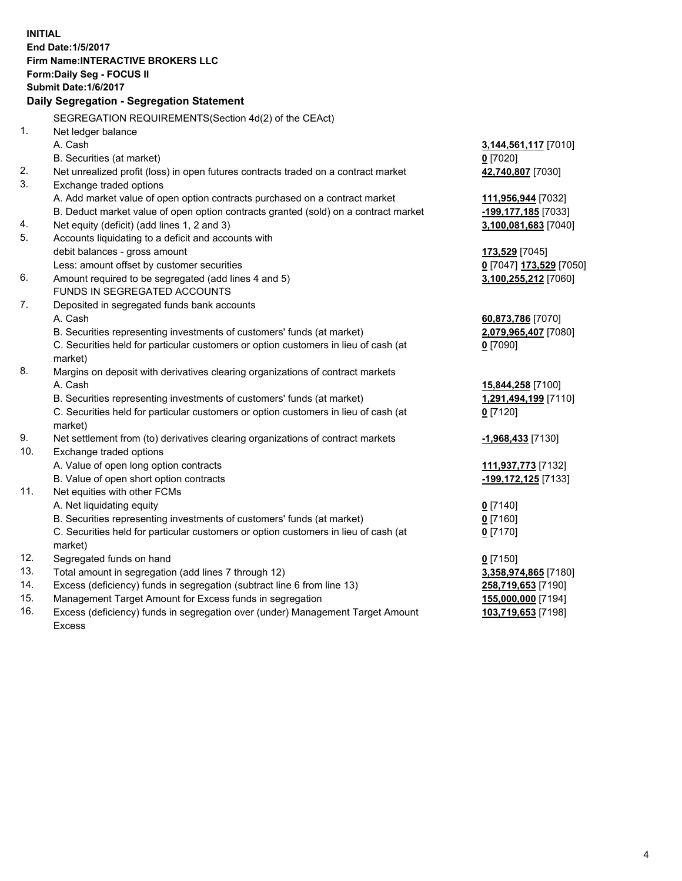**INITIAL End Date:1/5/2017 Firm Name:INTERACTIVE BROKERS LLC Form:Daily Seg - FOCUS II Submit Date:1/6/2017 Daily Segregation - Segregation Statement** SEGREGATION REQUIREMENTS(Section 4d(2) of the CEAct) 1. Net ledger balance A. Cash **3,144,561,117** [7010] B. Securities (at market) **0** [7020] 2. Net unrealized profit (loss) in open futures contracts traded on a contract market **42,740,807** [7030] 3. Exchange traded options A. Add market value of open option contracts purchased on a contract market **111,956,944** [7032] B. Deduct market value of open option contracts granted (sold) on a contract market **-199,177,185** [7033] 4. Net equity (deficit) (add lines 1, 2 and 3) **3,100,081,683** [7040] 5. Accounts liquidating to a deficit and accounts with debit balances - gross amount **173,529** [7045] Less: amount offset by customer securities **0** [7047] **173,529** [7050] 6. Amount required to be segregated (add lines 4 and 5) **3,100,255,212** [7060] FUNDS IN SEGREGATED ACCOUNTS 7. Deposited in segregated funds bank accounts A. Cash **60,873,786** [7070] B. Securities representing investments of customers' funds (at market) **2,079,965,407** [7080] C. Securities held for particular customers or option customers in lieu of cash (at market) **0** [7090] 8. Margins on deposit with derivatives clearing organizations of contract markets A. Cash **15,844,258** [7100] B. Securities representing investments of customers' funds (at market) **1,291,494,199** [7110] C. Securities held for particular customers or option customers in lieu of cash (at market) **0** [7120] 9. Net settlement from (to) derivatives clearing organizations of contract markets **-1,968,433** [7130] 10. Exchange traded options A. Value of open long option contracts **111,937,773** [7132] B. Value of open short option contracts **-199,172,125** [7133] 11. Net equities with other FCMs A. Net liquidating equity **0** [7140] B. Securities representing investments of customers' funds (at market) **0** [7160] C. Securities held for particular customers or option customers in lieu of cash (at market) **0** [7170] 12. Segregated funds on hand **0** [7150] 13. Total amount in segregation (add lines 7 through 12) **3,358,974,865** [7180] 14. Excess (deficiency) funds in segregation (subtract line 6 from line 13) **258,719,653** [7190] 15. Management Target Amount for Excess funds in segregation **155,000,000** [7194] 16. Excess (deficiency) funds in segregation over (under) Management Target Amount **103,719,653** [7198]

Excess